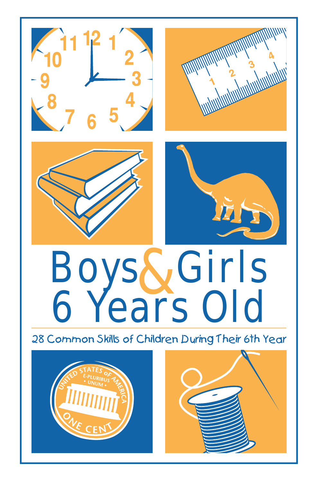



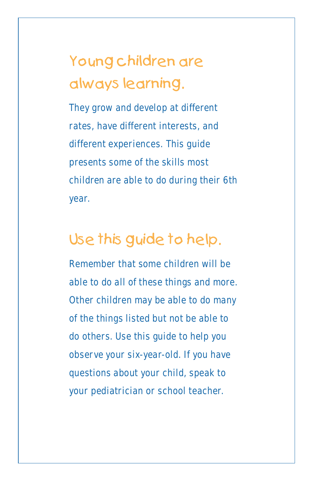# Young children are always learning.

They grow and develop at different rates, have different interests, and different experiences. This guide presents some of the skills most children are able to do during their 6th year.

# Use this guide to help.

Remember that some children will be able to do all of these things and more. Other children may be able to do many of the things listed but not be able to do others. Use this guide to help you observe your six-year-old. If you have questions about your child, speak to your pediatrician or school teacher.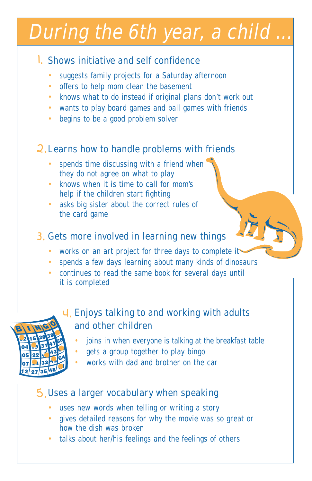# During the 6th year, a child

### 1. Shows initiative and self confidence

- suggests family projects for a Saturday afternoon •
- offers to help mom clean the basement •
- knows what to do instead if original plans don't work out
- wants to play board games and ball games with friends
- begins to be a good problem solver •

# 2. Learns how to handle problems with friends

- spends time discussing with a friend when they do not agree on what to play •
- knows when it is time to call for mom's help if the children start fighting
- asks big sister about the correct rules of the card game •

#### 3. Gets more involved in learning new things

- works on an art project for three days to complete it •
- spends a few days learning about many kinds of dinosaurs •
- continues to read the same book for several days until it is completed •



## Enjoys talking to and working with adults 4. and other children

- joins in when everyone is talking at the breakfast table •
- gets a group together to play bingo •
- works with dad and brother on the car •

# Uses a larger vocabulary when speaking 5.

- uses new words when telling or writing a story •
- gives detailed reasons for why the movie was so great or how the dish was broken •
- talks about her/his feelings and the feelings of others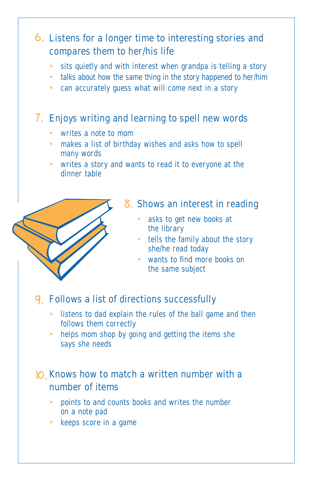# Listens for a longer time to interesting stories and 6. compares them to her/his life

- sits quietly and with interest when grandpa is telling a story •
- talks about how the same thing in the story happened to her/him
- can accurately guess what will come next in a story

#### Enjoys writing and learning to spell new words 7.

- writes a note to mom •
- makes a list of birthday wishes and asks how to spell many words
- writes a story and wants to read it to everyone at the dinner table



#### Shows an interest in reading 8.

- asks to get new books at the library
- tells the family about the story she/he read today
- wants to find more books on the same subject •

# Follows a list of directions successfully 9.

- listens to dad explain the rules of the ball game and then follows them correctly
- helps mom shop by going and getting the items she says she needs •

#### $|O|$ . Knows how to match a written number with a number of items

- points to and counts books and writes the number on a note pad •
- keeps score in a game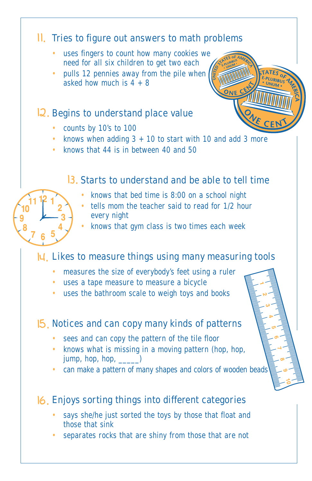#### II. Tries to figure out answers to math problems

- uses fingers to count how many cookies we need for all six children to get two each •
- pulls 12 pennies away from the pile when asked how much is  $4 + 8$ •

#### 12. Begins to understand place value

- counts by 10's to 100
- knows when adding  $3 + 10$  to start with 10 and add 3 more
- knows that 44 is in between 40 and 50

#### 13. Starts to understand and be able to tell time

PLURIBUS

- knows that bed time is 8:00 on a school night •
- tells mom the teacher said to read for 1/2 hour every night •
- knows that gym class is two times each week •

## $|u|$ . Likes to measure things using many measuring tools

- measures the size of everybody's feet using a ruler
- uses a tape measure to measure a bicycle
- uses the bathroom scale to weigh toys and books

#### Notices and can copy many kinds of patterns 15.

- sees and can copy the pattern of the tile floor
- knows what is missing in a moving pattern (hop, hop, jump, hop, hop,  $\_\_\_\_\$
- can make a pattern of many shapes and colors of wooden beads

# Enjoys sorting things into different categories 16.

- says she/he just sorted the toys by those that float and those that sink •
- separates rocks that are shiny from those that are not •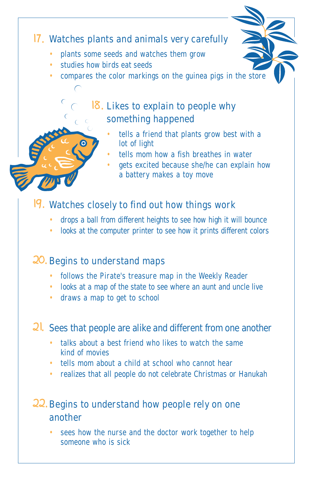# 17. Watches plants and animals very carefully

- plants some seeds and watches them grow •
- studies how birds eat seeds •

 $\overline{C}$  $\mathbb{C}$ 

compares the color markings on the guinea pigs in the store •

## 18. Likes to explain to people why something happened

- tells a friend that plants grow best with a lot of light •
- tells mom how a fish breathes in water •
- gets excited because she/he can explain how a battery makes a toy move •

#### Watches closely to find out how things work 19.

- drops a ball from different heights to see how high it will bounce •
- looks at the computer printer to see how it prints different colors

### 20. Begins to understand maps

- follows the Pirate's treasure map in the Weekly Reader
- looks at a map of the state to see where an aunt and uncle live
- draws a map to get to school

#### 2<sup>1</sup>. Sees that people are alike and different from one another

- talks about a best friend who likes to watch the same kind of movies
- tells mom about a child at school who cannot hear
- realizes that all people do not celebrate Christmas or Hanukah

### 22. Begins to understand how people rely on one another

• sees how the nurse and the doctor work together to help someone who is sick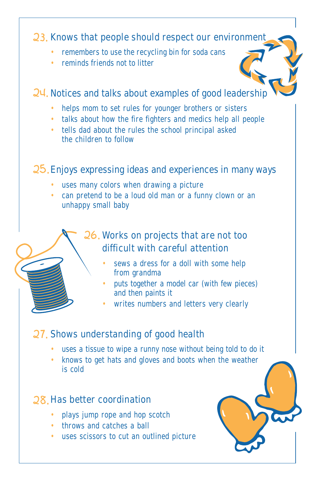#### 23. Knows that people should respect our environment

- remembers to use the recycling bin for soda cans •
- reminds friends not to litter

#### Notices and talks about examples of good leadership 24.

- helps mom to set rules for younger brothers or sisters
- talks about how the fire fighters and medics help all people
- tells dad about the rules the school principal asked the children to follow

#### 25. Enjoys expressing ideas and experiences in many ways

- uses many colors when drawing a picture
- can pretend to be a loud old man or a funny clown or an unhappy small baby

## 26. Works on projects that are not too difficult with careful attention

- sews a dress for a doll with some help from grandma •
- puts together a model car (with few pieces) and then paints it •
- writes numbers and letters very clearly •

#### 27. Shows understanding of good health

- uses a tissue to wipe a runny nose without being told to do it
- knows to get hats and gloves and boots when the weather is cold

#### 28. Has better coordination

- plays jump rope and hop scotch
- throws and catches a ball
- uses scissors to cut an outlined picture